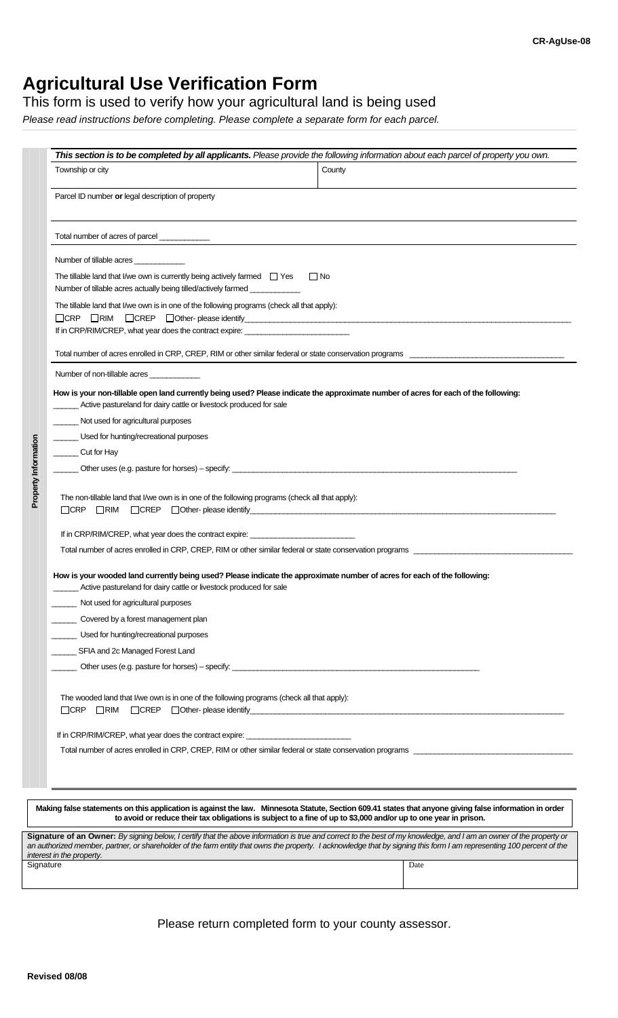# **Agricultural Use Verification Form**

This form is used to verify how your agricultural land is being used

*Please read instructions before completing. Please complete a separate form for each parcel.* 

| Township or city                                                                                                                                                                                         | County                                                                                                                              |
|----------------------------------------------------------------------------------------------------------------------------------------------------------------------------------------------------------|-------------------------------------------------------------------------------------------------------------------------------------|
| Parcel ID number or legal description of property                                                                                                                                                        |                                                                                                                                     |
|                                                                                                                                                                                                          |                                                                                                                                     |
| Number of tillable acres                                                                                                                                                                                 |                                                                                                                                     |
| The tillable land that I/we own is currently being actively farmed $\Box$ Yes<br>Number of tillable acres actually being tilled/actively farmed ____________                                             | $\Box$ No                                                                                                                           |
| The tillable land that I/we own is in one of the following programs (check all that apply):<br>$\Box$ CRP $\Box$ RIM<br>If in CRP/RIM/CREP, what year does the contract expire: ________________________ |                                                                                                                                     |
|                                                                                                                                                                                                          | Total number of acres enrolled in CRP, CREP, RIM or other similar federal or state conservation programs ___________                |
| Number of non-tillable acres                                                                                                                                                                             |                                                                                                                                     |
| Active pastureland for dairy cattle or livestock produced for sale                                                                                                                                       | How is your non-tillable open land currently being used? Please indicate the approximate number of acres for each of the following: |
| Not used for agricultural purposes                                                                                                                                                                       |                                                                                                                                     |
| Used for hunting/recreational purposes                                                                                                                                                                   |                                                                                                                                     |
| Cut for Hay                                                                                                                                                                                              |                                                                                                                                     |
|                                                                                                                                                                                                          |                                                                                                                                     |
| The non-tillable land that I/we own is in one of the following programs (check all that apply):                                                                                                          |                                                                                                                                     |
| If in CRP/RIM/CREP, what year does the contract expire: ________________________                                                                                                                         |                                                                                                                                     |
|                                                                                                                                                                                                          |                                                                                                                                     |
| __ Active pastureland for dairy cattle or livestock produced for sale                                                                                                                                    | How is your wooded land currently being used? Please indicate the approximate number of acres for each of the following:            |
| Not used for agricultural purposes                                                                                                                                                                       |                                                                                                                                     |
| Covered by a forest management plan                                                                                                                                                                      |                                                                                                                                     |
| Used for hunting/recreational purposes                                                                                                                                                                   |                                                                                                                                     |
| SFIA and 2c Managed Forest Land                                                                                                                                                                          |                                                                                                                                     |
|                                                                                                                                                                                                          |                                                                                                                                     |
| The wooded land that I/we own is in one of the following programs (check all that apply):                                                                                                                |                                                                                                                                     |
| If in CRP/RIM/CREP, what year does the contract expire: ________________________                                                                                                                         |                                                                                                                                     |
|                                                                                                                                                                                                          |                                                                                                                                     |
|                                                                                                                                                                                                          |                                                                                                                                     |

**Making false statements on this application is against the law. Minnesota Statute, Section 609.41 states that anyone giving false information in order to avoid or reduce their tax obligations is subject to a fine of up to \$3,000 and/or up to one year in prison.**

| Signature of an Owner: By signing below, I certify that the above information is true and correct to the best of my knowledge, and I am an owner of the property or   |      |  |  |
|-----------------------------------------------------------------------------------------------------------------------------------------------------------------------|------|--|--|
| an authorized member, partner, or shareholder of the farm entity that owns the property. I acknowledge that by signing this form I am representing 100 percent of the |      |  |  |
| interest in the property.                                                                                                                                             |      |  |  |
| Signature                                                                                                                                                             | Date |  |  |
|                                                                                                                                                                       |      |  |  |
|                                                                                                                                                                       |      |  |  |

Please return completed form to your county assessor.